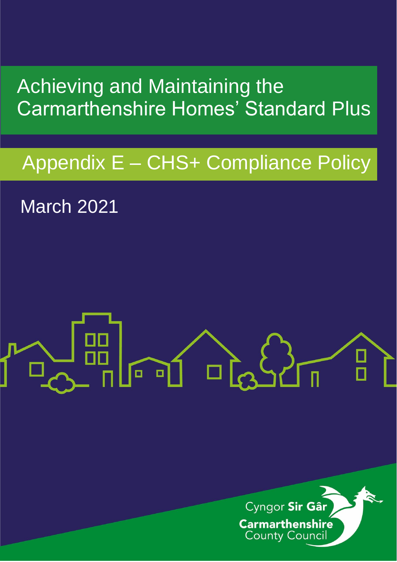## Achieving and Maintaining the Carmarthenshire Homes' Standard Plus

## Appendix E – CHS+ Compliance Policy

March 2021

# $\left( \bigwedge$  $\mathbf{q}$  $\Box$

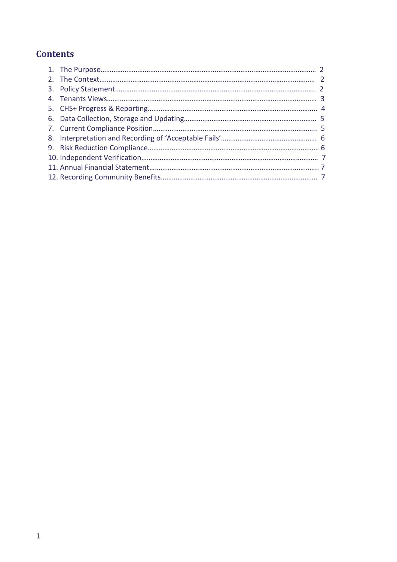### **Contents**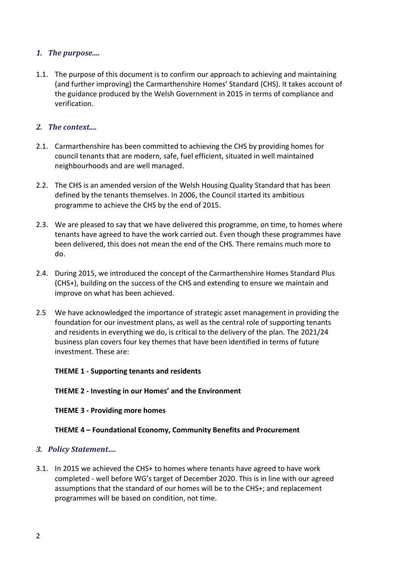#### *1. The purpose....*

1.1. The purpose of this document is to confirm our approach to achieving and maintaining (and further improving) the Carmarthenshire Homes' Standard (CHS). It takes account of the guidance produced by the Welsh Government in 2015 in terms of compliance and verification.

#### *2. The context....*

- 2.1. Carmarthenshire has been committed to achieving the CHS by providing homes for council tenants that are modern, safe, fuel efficient, situated in well maintained neighbourhoods and are well managed.
- 2.2. The CHS is an amended version of the Welsh Housing Quality Standard that has been defined by the tenants themselves. In 2006, the Council started its ambitious programme to achieve the CHS by the end of 2015.
- 2.3. We are pleased to say that we have delivered this programme, on time, to homes where tenants have agreed to have the work carried out. Even though these programmes have been delivered, this does not mean the end of the CHS. There remains much more to do.
- 2.4. During 2015, we introduced the concept of the Carmarthenshire Homes Standard Plus (CHS+), building on the success of the CHS and extending to ensure we maintain and improve on what has been achieved.
- 2.5 We have acknowledged the importance of strategic asset management in providing the foundation for our investment plans, as well as the central role of supporting tenants and residents in everything we do, is critical to the delivery of the plan. The 2021/24 business plan covers four key themes that have been identified in terms of future investment. These are:

#### **THEME 1 - Supporting tenants and residents**

#### **THEME 2 - Investing in our Homes' and the Environment**

#### **THEME 3 - Providing more homes**

#### **THEME 4 – Foundational Economy, Community Benefits and Procurement**

#### *3. Policy Statement….*

3.1. In 2015 we achieved the CHS+ to homes where tenants have agreed to have work completed - well before WG's target of December 2020. This is in line with our agreed assumptions that the standard of our homes will be to the CHS+; and replacement programmes will be based on condition, not time.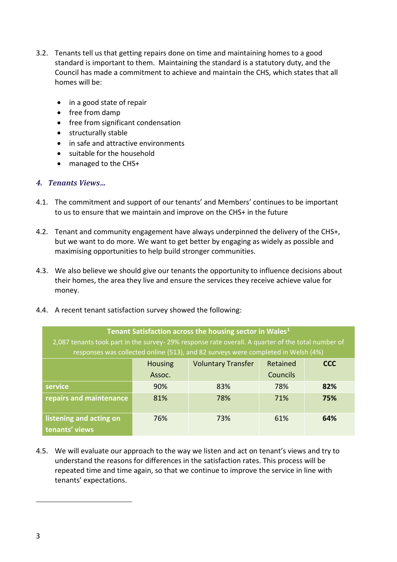- 3.2. Tenants tell us that getting repairs done on time and maintaining homes to a good standard is important to them. Maintaining the standard is a statutory duty, and the Council has made a commitment to achieve and maintain the CHS, which states that all homes will be:
	- in a good state of repair
	- free from damp
	- free from significant condensation
	- structurally stable
	- in safe and attractive environments
	- suitable for the household
	- managed to the CHS+

#### *4. Tenants Views…*

- 4.1. The commitment and support of our tenants' and Members' continues to be important to us to ensure that we maintain and improve on the CHS+ in the future
- 4.2. Tenant and community engagement have always underpinned the delivery of the CHS+, but we want to do more. We want to get better by engaging as widely as possible and maximising opportunities to help build stronger communities.
- 4.3. We also believe we should give our tenants the opportunity to influence decisions about their homes, the area they live and ensure the services they receive achieve value for money.
- 4.4. A recent tenant satisfaction survey showed the following:

| Tenant Satisfaction across the housing sector in Wales <sup>1</sup><br>2,087 tenants took part in the survey- 29% response rate overall. A quarter of the total number of<br>responses was collected online (513), and 82 surveys were completed in Welsh (4%) |                          |                           |                             |            |  |  |  |
|----------------------------------------------------------------------------------------------------------------------------------------------------------------------------------------------------------------------------------------------------------------|--------------------------|---------------------------|-----------------------------|------------|--|--|--|
|                                                                                                                                                                                                                                                                | <b>Housing</b><br>Assoc. | <b>Voluntary Transfer</b> | Retained<br><b>Councils</b> | <b>CCC</b> |  |  |  |
| service                                                                                                                                                                                                                                                        | 90%                      | 83%                       | 78%                         | 82%        |  |  |  |
| repairs and maintenance                                                                                                                                                                                                                                        | 81%                      | 78%                       | 71%                         | 75%        |  |  |  |
| listening and acting on<br>tenants' views                                                                                                                                                                                                                      | 76%                      | 73%                       | 61%                         | 64%        |  |  |  |

4.5. We will evaluate our approach to the way we listen and act on tenant's views and try to understand the reasons for differences in the satisfaction rates. This process will be repeated time and time again, so that we continue to improve the service in line with tenants' expectations.

1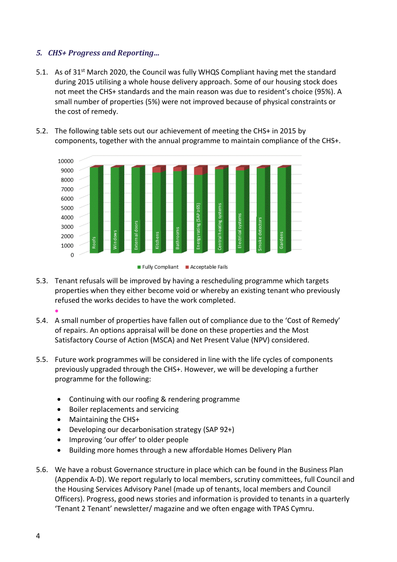#### *5. CHS+ Progress and Reporting…*

- 5.1. As of 31<sup>st</sup> March 2020, the Council was fully WHQS Compliant having met the standard during 2015 utilising a whole house delivery approach. Some of our housing stock does not meet the CHS+ standards and the main reason was due to resident's choice (95%). A small number of properties (5%) were not improved because of physical constraints or the cost of remedy.
- 5.2. The following table sets out our achievement of meeting the CHS+ in 2015 by components, together with the annual programme to maintain compliance of the CHS+.



- 5.3. Tenant refusals will be improved by having a rescheduling programme which targets properties when they either become void or whereby an existing tenant who previously refused the works decides to have the work completed.  $\bullet$
- 5.4. A small number of properties have fallen out of compliance due to the 'Cost of Remedy' of repairs. An options appraisal will be done on these properties and the Most Satisfactory Course of Action (MSCA) and Net Present Value (NPV) considered.
- 5.5. Future work programmes will be considered in line with the life cycles of components previously upgraded through the CHS+. However, we will be developing a further programme for the following:
	- Continuing with our roofing & rendering programme
	- Boiler replacements and servicing
	- Maintaining the CHS+
	- Developing our decarbonisation strategy (SAP 92+)
	- Improving 'our offer' to older people
	- Building more homes through a new affordable Homes Delivery Plan
- 5.6. We have a robust Governance structure in place which can be found in the Business Plan (Appendix A-D). We report regularly to local members, scrutiny committees, full Council and the Housing Services Advisory Panel (made up of tenants, local members and Council Officers). Progress, good news stories and information is provided to tenants in a quarterly 'Tenant 2 Tenant' newsletter/ magazine and we often engage with TPAS Cymru.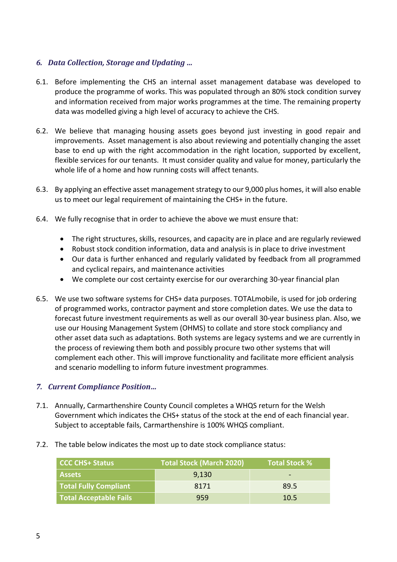#### *6. Data Collection, Storage and Updating …*

- 6.1. Before implementing the CHS an internal asset management database was developed to produce the programme of works. This was populated through an 80% stock condition survey and information received from major works programmes at the time. The remaining property data was modelled giving a high level of accuracy to achieve the CHS.
- 6.2. We believe that managing housing assets goes beyond just investing in good repair and improvements. Asset management is also about reviewing and potentially changing the asset base to end up with the right accommodation in the right location, supported by excellent, flexible services for our tenants. It must consider quality and value for money, particularly the whole life of a home and how running costs will affect tenants.
- 6.3. By applying an effective asset management strategy to our 9,000 plus homes, it will also enable us to meet our legal requirement of maintaining the CHS+ in the future.
- 6.4. We fully recognise that in order to achieve the above we must ensure that:
	- The right structures, skills, resources, and capacity are in place and are regularly reviewed
	- Robust stock condition information, data and analysis is in place to drive investment
	- Our data is further enhanced and regularly validated by feedback from all programmed and cyclical repairs, and maintenance activities
	- We complete our cost certainty exercise for our overarching 30-year financial plan
- 6.5. We use two software systems for CHS+ data purposes. TOTALmobile, is used for job ordering of programmed works, contractor payment and store completion dates. We use the data to forecast future investment requirements as well as our overall 30-year business plan. Also, we use our Housing Management System (OHMS) to collate and store stock compliancy and other asset data such as adaptations. Both systems are legacy systems and we are currently in the process of reviewing them both and possibly procure two other systems that will complement each other. This will improve functionality and facilitate more efficient analysis and scenario modelling to inform future investment programmes*.*

#### *7. Current Compliance Position…*

- 7.1. Annually, Carmarthenshire County Council completes a WHQS return for the Welsh Government which indicates the CHS+ status of the stock at the end of each financial year. Subject to acceptable fails, Carmarthenshire is 100% WHQS compliant.
- 7.2. The table below indicates the most up to date stock compliance status:

| <b>CCC CHS+ Status</b>        | <b>Total Stock (March 2020)</b> | <b>Total Stock %</b> |
|-------------------------------|---------------------------------|----------------------|
| <b>Assets</b>                 | 9,130                           | -                    |
| <b>Total Fully Compliant</b>  | 8171                            | 89.5                 |
| <b>Total Acceptable Fails</b> | 959                             | 10.5                 |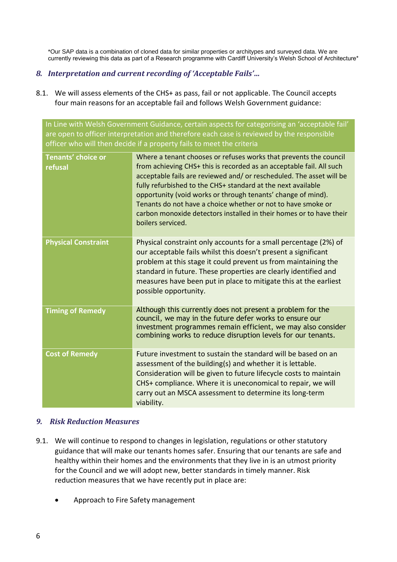\*Our SAP data is a combination of cloned data for similar properties or architypes and surveyed data. We are currently reviewing this data as part of a Research programme with Cardiff University's Welsh School of Architecture\*

#### *8. Interpretation and current recording of 'Acceptable Fails'…*

8.1. We will assess elements of the CHS+ as pass, fail or not applicable. The Council accepts four main reasons for an acceptable fail and follows Welsh Government guidance:

In Line with Welsh Government Guidance, certain aspects for categorising an 'acceptable fail' are open to officer interpretation and therefore each case is reviewed by the responsible officer who will then decide if a property fails to meet the criteria

| <b>Tenants' choice or</b><br>refusal | Where a tenant chooses or refuses works that prevents the council<br>from achieving CHS+ this is recorded as an acceptable fail. All such<br>acceptable fails are reviewed and/ or rescheduled. The asset will be<br>fully refurbished to the CHS+ standard at the next available<br>opportunity (void works or through tenants' change of mind).<br>Tenants do not have a choice whether or not to have smoke or<br>carbon monoxide detectors installed in their homes or to have their<br>boilers serviced. |
|--------------------------------------|---------------------------------------------------------------------------------------------------------------------------------------------------------------------------------------------------------------------------------------------------------------------------------------------------------------------------------------------------------------------------------------------------------------------------------------------------------------------------------------------------------------|
| <b>Physical Constraint</b>           | Physical constraint only accounts for a small percentage (2%) of<br>our acceptable fails whilst this doesn't present a significant<br>problem at this stage it could prevent us from maintaining the<br>standard in future. These properties are clearly identified and<br>measures have been put in place to mitigate this at the earliest<br>possible opportunity.                                                                                                                                          |
| <b>Timing of Remedy</b>              | Although this currently does not present a problem for the<br>council, we may in the future defer works to ensure our<br>investment programmes remain efficient, we may also consider<br>combining works to reduce disruption levels for our tenants.                                                                                                                                                                                                                                                         |
| <b>Cost of Remedy</b>                | Future investment to sustain the standard will be based on an<br>assessment of the building(s) and whether it is lettable.<br>Consideration will be given to future lifecycle costs to maintain<br>CHS+ compliance. Where it is uneconomical to repair, we will<br>carry out an MSCA assessment to determine its long-term<br>viability.                                                                                                                                                                      |

#### *9. Risk Reduction Measures*

- 9.1. We will continue to respond to changes in legislation, regulations or other statutory guidance that will make our tenants homes safer. Ensuring that our tenants are safe and healthy within their homes and the environments that they live in is an utmost priority for the Council and we will adopt new, better standards in timely manner. Risk reduction measures that we have recently put in place are:
	- Approach to Fire Safety management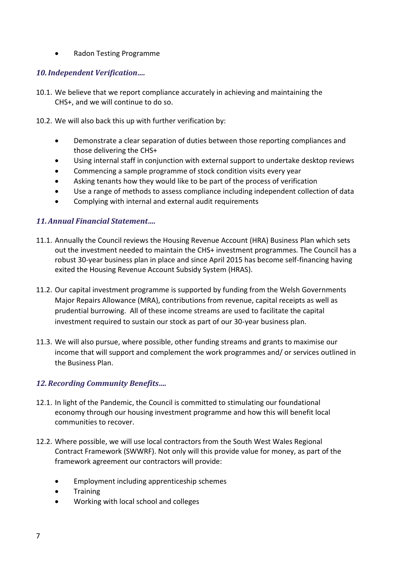• Radon Testing Programme

#### *10.Independent Verification….*

- 10.1. We believe that we report compliance accurately in achieving and maintaining the CHS+, and we will continue to do so.
- 10.2. We will also back this up with further verification by:
	- Demonstrate a clear separation of duties between those reporting compliances and those delivering the CHS+
	- Using internal staff in conjunction with external support to undertake desktop reviews
	- Commencing a sample programme of stock condition visits every year
	- Asking tenants how they would like to be part of the process of verification
	- Use a range of methods to assess compliance including independent collection of data
	- Complying with internal and external audit requirements

#### *11.Annual Financial Statement….*

- 11.1. Annually the Council reviews the Housing Revenue Account (HRA) Business Plan which sets out the investment needed to maintain the CHS+ investment programmes. The Council has a robust 30-year business plan in place and since April 2015 has become self-financing having exited the Housing Revenue Account Subsidy System (HRAS).
- 11.2. Our capital investment programme is supported by funding from the Welsh Governments Major Repairs Allowance (MRA), contributions from revenue, capital receipts as well as prudential burrowing. All of these income streams are used to facilitate the capital investment required to sustain our stock as part of our 30-year business plan.
- 11.3. We will also pursue, where possible, other funding streams and grants to maximise our income that will support and complement the work programmes and/ or services outlined in the Business Plan.

#### *12.Recording Community Benefits….*

- 12.1. In light of the Pandemic, the Council is committed to stimulating our foundational economy through our housing investment programme and how this will benefit local communities to recover.
- 12.2. Where possible, we will use local contractors from the South West Wales Regional Contract Framework (SWWRF). Not only will this provide value for money, as part of the framework agreement our contractors will provide:
	- Employment including apprenticeship schemes
	- Training
	- Working with local school and colleges